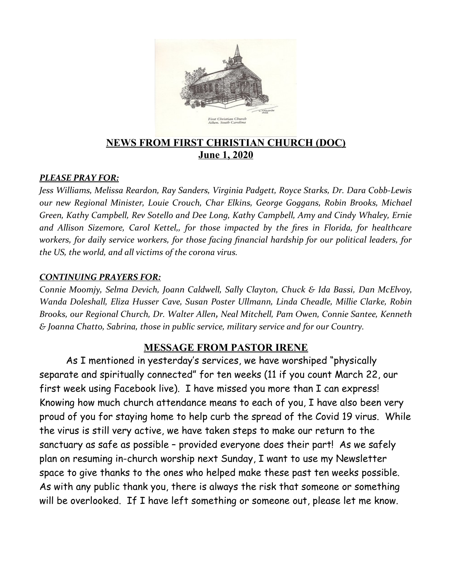

## **NEWS FROM FIRST CHRISTIAN CHURCH (DOC) June 1, 2020**

#### *PLEASE PRAY FOR:*

*Jess Williams, Melissa Reardon, Ray Sanders, Virginia Padgett, Royce Starks, Dr. Dara Cobb-Lewis our new Regional Minister, Louie Crouch, Char Elkins, George Goggans, Robin Brooks, Michael Green, Kathy Campbell, Rev Sotello and Dee Long, Kathy Campbell, Amy and Cindy Whaley, Ernie and Allison Sizemore, Carol Kettel,, for those impacted by the fires in Florida, for healthcare workers, for daily service workers, for those facing financial hardship for our political leaders, for the US, the world, and all victims of the corona virus.*

#### *CONTINUING PRAYERS FOR:*

*Connie Moomjy, Selma Devich, Joann Caldwell, Sally Clayton, Chuck & Ida Bassi, Dan McElvoy, Wanda Doleshall, Eliza Husser Cave, Susan Poster Ullmann, Linda Cheadle, Millie Clarke, Robin Brooks, our Regional Church, Dr. Walter Allen, Neal Mitchell, Pam Owen, Connie Santee, Kenneth & Joanna Chatto, Sabrina, those in public service, military service and for our Country.*

#### **MESSAGE FROM PASTOR IRENE**

As I mentioned in yesterday's services, we have worshiped "physically separate and spiritually connected" for ten weeks (11 if you count March 22, our first week using Facebook live). I have missed you more than I can express! Knowing how much church attendance means to each of you, I have also been very proud of you for staying home to help curb the spread of the Covid 19 virus. While the virus is still very active, we have taken steps to make our return to the sanctuary as safe as possible – provided everyone does their part! As we safely plan on resuming in-church worship next Sunday, I want to use my Newsletter space to give thanks to the ones who helped make these past ten weeks possible. As with any public thank you, there is always the risk that someone or something will be overlooked. If I have left something or someone out, please let me know.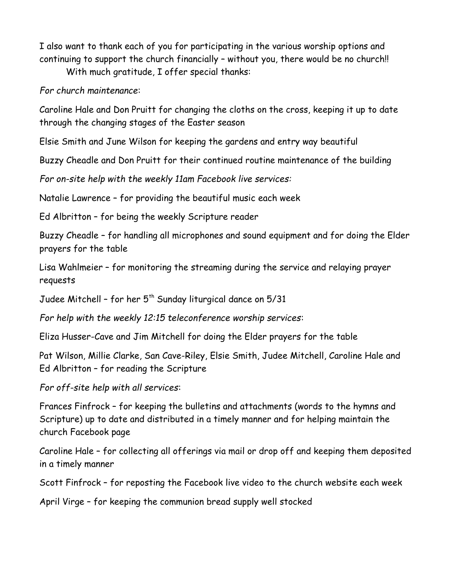I also want to thank each of you for participating in the various worship options and continuing to support the church financially – without you, there would be no church!!

With much gratitude, I offer special thanks:

*For church maintenance*:

Caroline Hale and Don Pruitt for changing the cloths on the cross, keeping it up to date through the changing stages of the Easter season

Elsie Smith and June Wilson for keeping the gardens and entry way beautiful

Buzzy Cheadle and Don Pruitt for their continued routine maintenance of the building

*For on-site help with the weekly 11am Facebook live services:*

Natalie Lawrence – for providing the beautiful music each week

Ed Albritton – for being the weekly Scripture reader

Buzzy Cheadle – for handling all microphones and sound equipment and for doing the Elder prayers for the table

Lisa Wahlmeier – for monitoring the streaming during the service and relaying prayer requests

Judee Mitchell - for her  $5<sup>th</sup>$  Sunday liturgical dance on  $5/31$ 

*For help with the weekly 12:15 teleconference worship services*:

Eliza Husser-Cave and Jim Mitchell for doing the Elder prayers for the table

Pat Wilson, Millie Clarke, San Cave-Riley, Elsie Smith, Judee Mitchell, Caroline Hale and Ed Albritton – for reading the Scripture

*For off-site help with all services*:

Frances Finfrock – for keeping the bulletins and attachments (words to the hymns and Scripture) up to date and distributed in a timely manner and for helping maintain the church Facebook page

Caroline Hale – for collecting all offerings via mail or drop off and keeping them deposited in a timely manner

Scott Finfrock – for reposting the Facebook live video to the church website each week

April Virge – for keeping the communion bread supply well stocked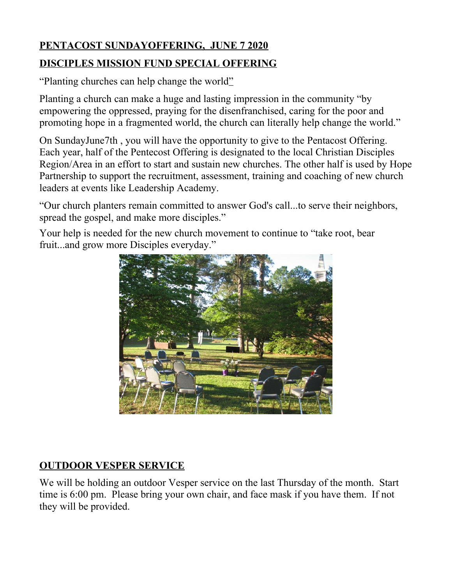# **PENTACOST SUNDAYOFFERING, JUNE 7 2020 DISCIPLES MISSION FUND SPECIAL OFFERING**

"Planting churches can help change the world"

Planting a church can make a huge and lasting impression in the community "by empowering the oppressed, praying for the disenfranchised, caring for the poor and promoting hope in a fragmented world, the church can literally help change the world."

On SundayJune7th , you will have the opportunity to give to the Pentacost Offering. Each year, half of the Pentecost Offering is designated to the local Christian Disciples Region/Area in an effort to start and sustain new churches. The other half is used by Hope Partnership to support the recruitment, assessment, training and coaching of new church leaders at events like Leadership Academy.

"Our church planters remain committed to answer God's call...to serve their neighbors, spread the gospel, and make more disciples."

Your help is needed for the new church movement to continue to "take root, bear fruit...and grow more Disciples everyday."



# **OUTDOOR VESPER SERVICE**

We will be holding an outdoor Vesper service on the last Thursday of the month. Start time is 6:00 pm. Please bring your own chair, and face mask if you have them. If not they will be provided.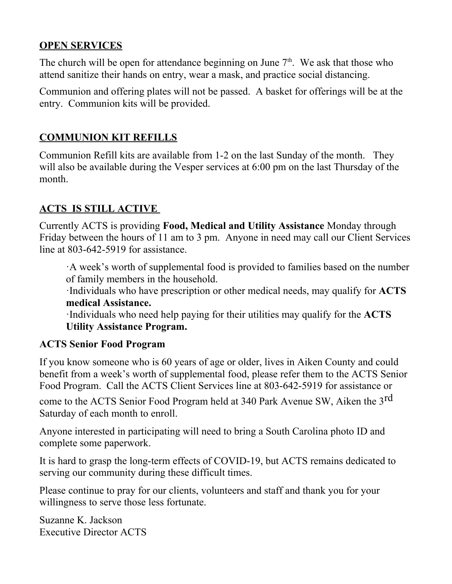# **OPEN SERVICES**

The church will be open for attendance beginning on June  $7<sup>th</sup>$ . We ask that those who attend sanitize their hands on entry, wear a mask, and practice social distancing.

Communion and offering plates will not be passed. A basket for offerings will be at the entry. Communion kits will be provided.

# **COMMUNION KIT REFILLS**

Communion Refill kits are available from 1-2 on the last Sunday of the month. They will also be available during the Vesper services at 6:00 pm on the last Thursday of the month.

# **ACTS IS STILL ACTIVE**

Currently ACTS is providing **Food, Medical and Utility Assistance** Monday through Friday between the hours of 11 am to 3 pm. Anyone in need may call our Client Services line at 803-642-5919 for assistance.

·A week's worth of supplemental food is provided to families based on the number of family members in the household.

·Individuals who have prescription or other medical needs, may qualify for **ACTS medical Assistance.**

·Individuals who need help paying for their utilities may qualify for the **ACTS Utility Assistance Program.**

### **ACTS Senior Food Program**

If you know someone who is 60 years of age or older, lives in Aiken County and could benefit from a week's worth of supplemental food, please refer them to the ACTS Senior Food Program. Call the ACTS Client Services line at 803-642-5919 for assistance or

come to the ACTS Senior Food Program held at 340 Park Avenue SW, Aiken the 3<sup>rd</sup> Saturday of each month to enroll.

Anyone interested in participating will need to bring a South Carolina photo ID and complete some paperwork.

It is hard to grasp the long-term effects of COVID-19, but ACTS remains dedicated to serving our community during these difficult times.

Please continue to pray for our clients, volunteers and staff and thank you for your willingness to serve those less fortunate.

Suzanne K. Jackson Executive Director ACTS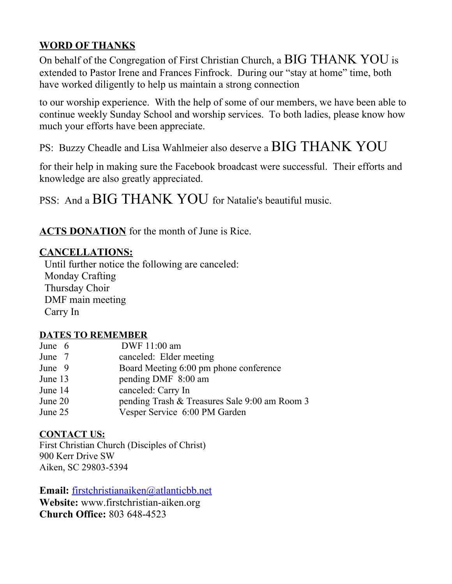# **WORD OF THANKS**

On behalf of the Congregation of First Christian Church, a BIG THANK YOU is extended to Pastor Irene and Frances Finfrock. During our "stay at home" time, both have worked diligently to help us maintain a strong connection

to our worship experience. With the help of some of our members, we have been able to continue weekly Sunday School and worship services. To both ladies, please know how much your efforts have been appreciate.

PS: Buzzy Cheadle and Lisa Wahlmeier also deserve a BIG THANK YOU

for their help in making sure the Facebook broadcast were successful. Their efforts and knowledge are also greatly appreciated.

PSS: And a BIG THANK YOU for Natalie's beautiful music.

**ACTS DONATION** for the month of June is Rice.

#### **CANCELLATIONS:**

 Until further notice the following are canceled: Monday Crafting Thursday Choir DMF main meeting Carry In

#### **DATES TO REMEMBER**

| canceled: Elder meeting<br>June 7                        |  |
|----------------------------------------------------------|--|
| Board Meeting 6:00 pm phone conference<br>June 9         |  |
| pending DMF 8:00 am<br>June 13                           |  |
| canceled: Carry In<br>June 14                            |  |
| pending Trash & Treasures Sale 9:00 am Room 3<br>June 20 |  |
| Vesper Service 6:00 PM Garden<br>June 25                 |  |

#### **CONTACT US:**

First Christian Church (Disciples of Christ) 900 Kerr Drive SW Aiken, SC 29803-5394

**Email:** [firstchristianaiken@atlanticbb.net](mailto:firstchristianaiken@atlanticbb.net)

**Website:** www.firstchristian-aiken.org **Church Office:** 803 648-4523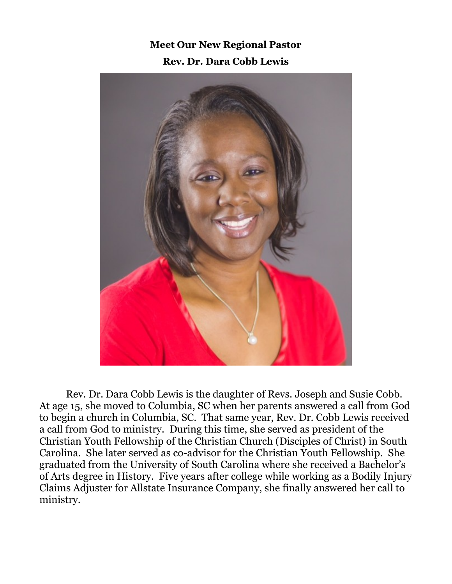**Meet Our New Regional Pastor Rev. Dr. Dara Cobb Lewis**



Rev. Dr. Dara Cobb Lewis is the daughter of Revs. Joseph and Susie Cobb. At age 15, she moved to Columbia, SC when her parents answered a call from God to begin a church in Columbia, SC. That same year, Rev. Dr. Cobb Lewis received a call from God to ministry. During this time, she served as president of the Christian Youth Fellowship of the Christian Church (Disciples of Christ) in South Carolina. She later served as co-advisor for the Christian Youth Fellowship. She graduated from the University of South Carolina where she received a Bachelor's of Arts degree in History. Five years after college while working as a Bodily Injury Claims Adjuster for Allstate Insurance Company, she finally answered her call to ministry.